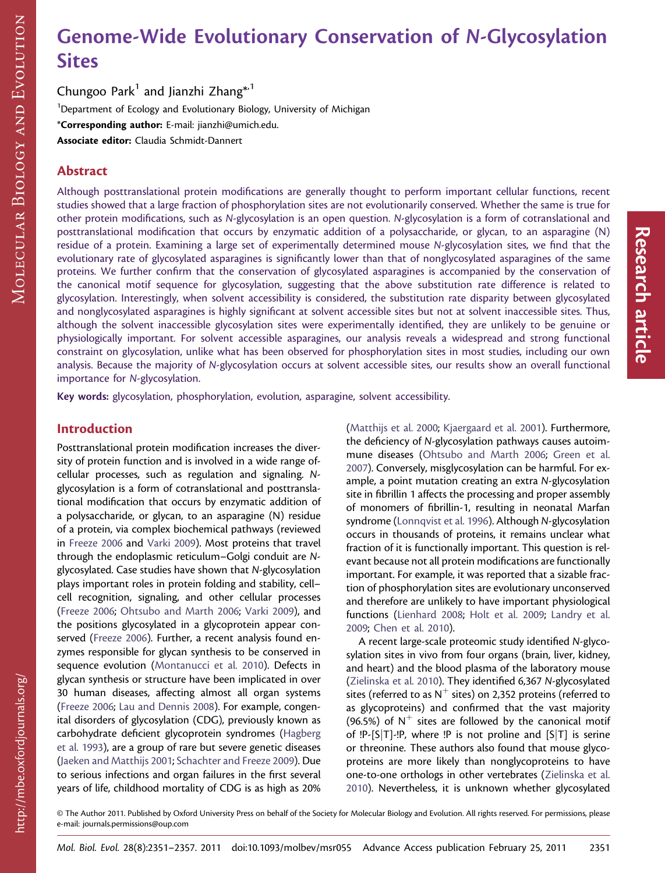# Genome-Wide Evolutionary Conservation of *N*-Glycosylation Sites

Chungoo Park<sup>1</sup> and Jianzhi Zhang<sup>\*,1</sup> <sup>1</sup>Department of Ecology and Evolutionary Biology, University of Michigan \*Corresponding author: E-mail: jianzhi@umich.edu. Associate editor: Claudia Schmidt-Dannert

# Abstract

Although posttranslational protein modifications are generally thought to perform important cellular functions, recent studies showed that a large fraction of phosphorylation sites are not evolutionarily conserved. Whether the same is true for other protein modifications, such as N-glycosylation is an open question. N-glycosylation is a form of cotranslational and posttranslational modification that occurs by enzymatic addition of a polysaccharide, or glycan, to an asparagine (N) residue of a protein. Examining a large set of experimentally determined mouse N-glycosylation sites, we find that the evolutionary rate of glycosylated asparagines is significantly lower than that of nonglycosylated asparagines of the same proteins. We further confirm that the conservation of glycosylated asparagines is accompanied by the conservation of the canonical motif sequence for glycosylation, suggesting that the above substitution rate difference is related to glycosylation. Interestingly, when solvent accessibility is considered, the substitution rate disparity between glycosylated and nonglycosylated asparagines is highly significant at solvent accessible sites but not at solvent inaccessible sites. Thus, although the solvent inaccessible glycosylation sites were experimentally identified, they are unlikely to be genuine or physiologically important. For solvent accessible asparagines, our analysis reveals a widespread and strong functional constraint on glycosylation, unlike what has been observed for phosphorylation sites in most studies, including our own analysis. Because the majority of N-glycosylation occurs at solvent accessible sites, our results show an overall functional importance for N-glycosylation.

Key words: glycosylation, phosphorylation, evolution, asparagine, solvent accessibility.

## Introduction

Posttranslational protein modification increases the diversity of protein function and is involved in a wide range ofcellular processes, such as regulation and signaling. Nglycosylation is a form of cotranslational and posttranslational modification that occurs by enzymatic addition of a polysaccharide, or glycan, to an asparagine (N) residue of a protein, via complex biochemical pathways (reviewed in [Freeze 2006](#page-6-0) and [Varki 2009](#page-6-0)). Most proteins that travel through the endoplasmic reticulum–Golgi conduit are Nglycosylated. Case studies have shown that N-glycosylation plays important roles in protein folding and stability, cell– cell recognition, signaling, and other cellular processes [\(Freeze 2006;](#page-6-0) [Ohtsubo and Marth 2006;](#page-6-0) [Varki 2009](#page-6-0)), and the positions glycosylated in a glycoprotein appear conserved ([Freeze 2006\)](#page-6-0). Further, a recent analysis found enzymes responsible for glycan synthesis to be conserved in sequence evolution ([Montanucci et al. 2010\)](#page-6-0). Defects in glycan synthesis or structure have been implicated in over 30 human diseases, affecting almost all organ systems [\(Freeze 2006;](#page-6-0) [Lau and Dennis 2008\)](#page-6-0). For example, congenital disorders of glycosylation (CDG), previously known as carbohydrate deficient glycoprotein syndromes ([Hagberg](#page-6-0) [et al. 1993](#page-6-0)), are a group of rare but severe genetic diseases [\(Jaeken and Matthijs 2001](#page-6-0); [Schachter and Freeze 2009](#page-6-0)). Due to serious infections and organ failures in the first several years of life, childhood mortality of CDG is as high as 20%

[\(Matthijs et al. 2000](#page-6-0); [Kjaergaard et al. 2001\)](#page-6-0). Furthermore, the deficiency of N-glycosylation pathways causes autoimmune diseases ([Ohtsubo and Marth 2006;](#page-6-0) [Green et al.](#page-6-0) [2007](#page-6-0)). Conversely, misglycosylation can be harmful. For example, a point mutation creating an extra N-glycosylation site in fibrillin 1 affects the processing and proper assembly of monomers of fibrillin-1, resulting in neonatal Marfan syndrome ([Lonnqvist et al. 1996](#page-6-0)). Although N-glycosylation occurs in thousands of proteins, it remains unclear what fraction of it is functionally important. This question is relevant because not all protein modifications are functionally important. For example, it was reported that a sizable fraction of phosphorylation sites are evolutionary unconserved and therefore are unlikely to have important physiological functions ([Lienhard 2008](#page-6-0); [Holt et al. 2009](#page-6-0); [Landry et al.](#page-6-0) [2009](#page-6-0); [Chen et al. 2010](#page-6-0)).

A recent large-scale proteomic study identified N-glycosylation sites in vivo from four organs (brain, liver, kidney, and heart) and the blood plasma of the laboratory mouse [\(Zielinska et al. 2010\)](#page-6-0). They identified 6,367 N-glycosylated sites (referred to as  $N^+$  sites) on 2,352 proteins (referred to as glycoproteins) and confirmed that the vast majority (96.5%) of  $N^+$  sites are followed by the canonical motif of  $!P-[S|T]$ - $!P$ , where  $!P$  is not proline and  $[S|T]$  is serine or threonine. These authors also found that mouse glycoproteins are more likely than nonglycoproteins to have one-to-one orthologs in other vertebrates ([Zielinska et al.](#page-6-0) [2010](#page-6-0)). Nevertheless, it is unknown whether glycosylated

http://mbe.oxfordjournals.org/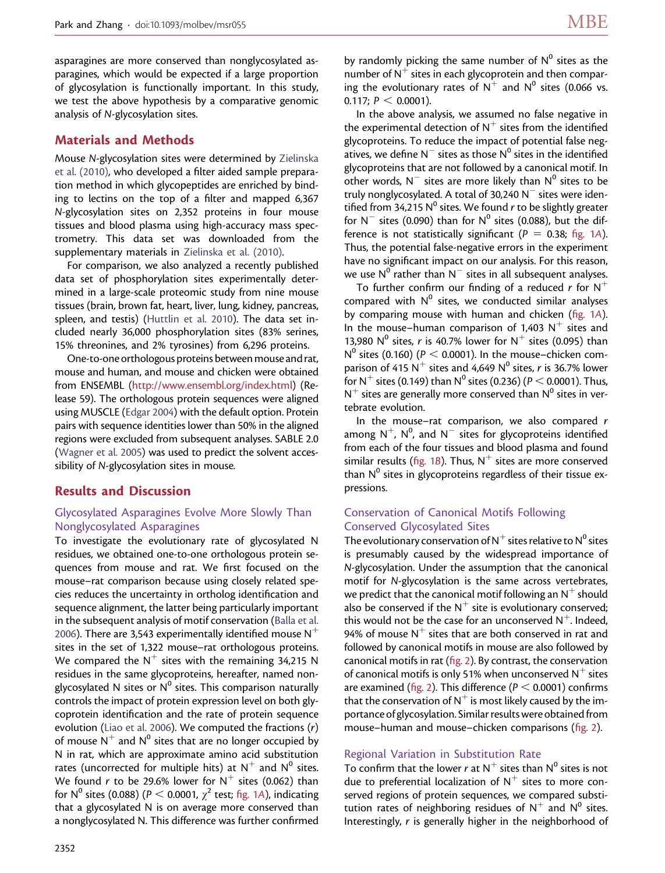asparagines are more conserved than nonglycosylated asparagines, which would be expected if a large proportion of glycosylation is functionally important. In this study, we test the above hypothesis by a comparative genomic analysis of N-glycosylation sites.

## Materials and Methods

Mouse N-glycosylation sites were determined by [Zielinska](#page-6-0) [et al. \(2010\)](#page-6-0), who developed a filter aided sample preparation method in which glycopeptides are enriched by binding to lectins on the top of a filter and mapped 6,367 N-glycosylation sites on 2,352 proteins in four mouse tissues and blood plasma using high-accuracy mass spectrometry. This data set was downloaded from the supplementary materials in [Zielinska et al. \(2010\).](#page-6-0)

For comparison, we also analyzed a recently published data set of phosphorylation sites experimentally determined in a large-scale proteomic study from nine mouse tissues (brain, brown fat, heart, liver, lung, kidney, pancreas, spleen, and testis) ([Huttlin et al. 2010](#page-6-0)). The data set included nearly 36,000 phosphorylation sites (83% serines, 15% threonines, and 2% tyrosines) from 6,296 proteins.

One-to-one orthologous proteins between mouse and rat, mouse and human, and mouse and chicken were obtained from ENSEMBL [\(http://www.ensembl.org/index.html\)](http://www.ensembl.org/index.html) (Release 59). The orthologous protein sequences were aligned using MUSCLE [\(Edgar 2004](#page-6-0)) with the default option. Protein pairs with sequence identities lower than 50% in the aligned regions were excluded from subsequent analyses. SABLE 2.0 [\(Wagner et al. 2005\)](#page-6-0) was used to predict the solvent accessibility of N-glycosylation sites in mouse.

## Results and Discussion

## Glycosylated Asparagines Evolve More Slowly Than Nonglycosylated Asparagines

To investigate the evolutionary rate of glycosylated N residues, we obtained one-to-one orthologous protein sequences from mouse and rat. We first focused on the mouse–rat comparison because using closely related species reduces the uncertainty in ortholog identification and sequence alignment, the latter being particularly important in the subsequent analysis of motif conservation ([Balla et al.](#page-6-0) [2006](#page-6-0)). There are 3,543 experimentally identified mouse  $N^+$ sites in the set of 1,322 mouse–rat orthologous proteins. We compared the  $N^+$  sites with the remaining 34,215 N residues in the same glycoproteins, hereafter, named nonglycosylated N sites or  $N^0$  sites. This comparison naturally controls the impact of protein expression level on both glycoprotein identification and the rate of protein sequence evolution [\(Liao et al. 2006](#page-6-0)). We computed the fractions (r) of mouse  $N^+$  and  $N^0$  sites that are no longer occupied by N in rat, which are approximate amino acid substitution rates (uncorrected for multiple hits) at  $N^+$  and  $N^0$  sites. We found r to be 29.6% lower for  $N^+$  sites (0.062) than for N<sup>0</sup> sites (0.088) ( $P < 0.0001$ ,  $\chi^2$  test; fig. 1A), indicating that a glycosylated N is on average more conserved than a nonglycosylated N. This difference was further confirmed

by randomly picking the same number of  $N^0$  sites as the number of  $N^+$  sites in each glycoprotein and then comparing the evolutionary rates of  $N^+$  and  $N^0$  sites (0.066 vs. 0.117;  $P < 0.0001$ ).

In the above analysis, we assumed no false negative in the experimental detection of  $N^+$  sites from the identified glycoproteins. To reduce the impact of potential false negatives, we define  $N^-$  sites as those  $N^0$  sites in the identified glycoproteins that are not followed by a canonical motif. In other words,  $N^-$  sites are more likely than  $N^0$  sites to be truly nonglycosylated. A total of 30,240  $N^-$  sites were identified from 34,215 N<sup>o</sup> sites. We found r to be slightly greater for  $N^-$  sites (0.090) than for  $N^0$  sites (0.088), but the difference is not statistically significant ( $P = 0.38$ ; fig. 1A). Thus, the potential false-negative errors in the experiment have no significant impact on our analysis. For this reason, we use  $N^0$  rather than  $N^-$  sites in all subsequent analyses.

To further confirm our finding of a reduced r for  $N^+$ compared with  $N^0$  sites, we conducted similar analyses by comparing mouse with human and chicken (fig. 1A). In the mouse–human comparison of 1,403  $N^+$  sites and 13,980 N<sup>o</sup> sites, r is 40.7% lower for N<sup>+</sup> sites (0.095) than N<sup>0</sup> sites (0.160) ( $P < 0.0001$ ). In the mouse–chicken comparison of 415 N<sup>+</sup> sites and 4,649 N<sup>0</sup> sites, r is 36.7% lower for N<sup>+</sup> sites (0.149) than N<sup>0</sup> sites (0.236) ( $P < 0.0001$ ). Thus,  $N^+$  sites are generally more conserved than  $N^0$  sites in vertebrate evolution.

In the mouse–rat comparison, we also compared  $r$ among  $N^{+}$ ,  $N^{0}$ , and  $N^{-}$  sites for glycoproteins identified from each of the four tissues and blood plasma and found similar results (fig. 1B). Thus,  $N^+$  sites are more conserved than  $N^0$  sites in glycoproteins regardless of their tissue expressions.

## Conservation of Canonical Motifs Following Conserved Glycosylated Sites

The evolutionary conservation of N $^+$  sites relative to N $^{\rm 0}$  sites is presumably caused by the widespread importance of N-glycosylation. Under the assumption that the canonical motif for N-glycosylation is the same across vertebrates, we predict that the canonical motif following an  $N^+$  should also be conserved if the  $N^+$  site is evolutionary conserved; this would not be the case for an unconserved  $N^+$ . Indeed, 94% of mouse  $N^+$  sites that are both conserved in rat and followed by canonical motifs in mouse are also followed by canonical motifs in rat (fig. 2). By contrast, the conservation of canonical motifs is only 51% when unconserved  $N^+$  sites are examined (fig. 2). This difference ( $P < 0.0001$ ) confirms that the conservation of  $N^+$  is most likely caused by the importance of glycosylation. Similar results were obtained from mouse–human and mouse–chicken comparisons (fig. 2).

#### Regional Variation in Substitution Rate

To confirm that the lower r at  $N^+$  sites than  $N^0$  sites is not due to preferential localization of  $N^+$  sites to more conserved regions of protein sequences, we compared substitution rates of neighboring residues of  $N^+$  and  $N^0$  sites. Interestingly, r is generally higher in the neighborhood of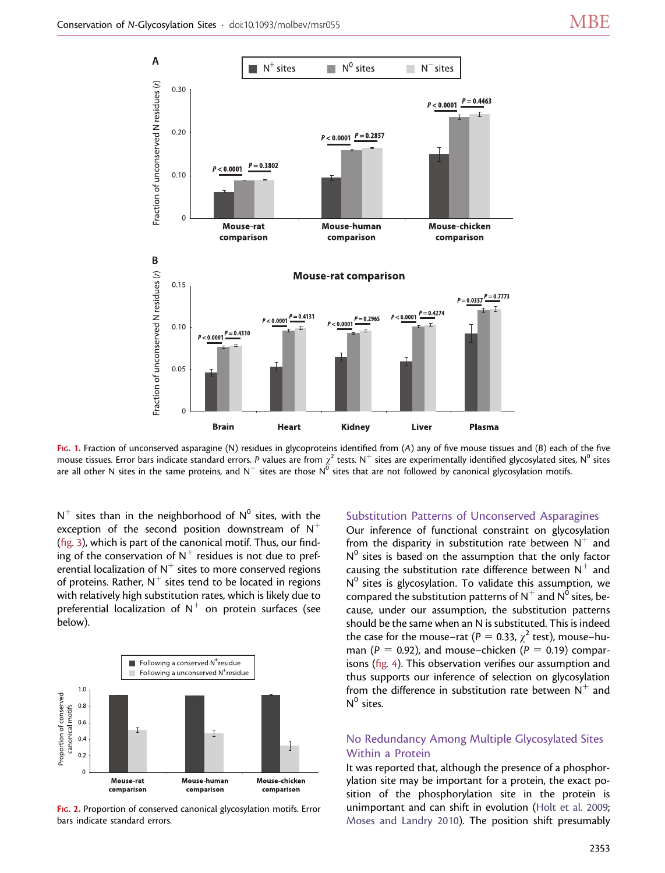

FIG. 1. Fraction of unconserved asparagine (N) residues in glycoproteins identified from (A) any of five mouse tissues and (B) each of the five mouse tissues. Error bars indicate standard errors. P values are from  $\chi^2$  tests. N $^+$  sites are experimentally identified glycosylated sites, N $^0$  sites are all other N sites in the same proteins, and N $^-$  sites are those N $^{\hat{0}}$  sites that are not followed by canonical glycosylation motifs.

 $N^+$  sites than in the neighborhood of  $N^0$  sites, with the exception of the second position downstream of  $N^+$ (fig. 3), which is part of the canonical motif. Thus, our finding of the conservation of  $N^+$  residues is not due to preferential localization of  $N^+$  sites to more conserved regions of proteins. Rather,  $N^+$  sites tend to be located in regions with relatively high substitution rates, which is likely due to preferential localization of  $N^+$  on protein surfaces (see below).



FIG. 2. Proportion of conserved canonical glycosylation motifs. Error bars indicate standard errors.

#### Substitution Patterns of Unconserved Asparagines

Our inference of functional constraint on glycosylation from the disparity in substitution rate between  $N^+$  and  $N<sup>0</sup>$  sites is based on the assumption that the only factor causing the substitution rate difference between  $N^+$  and  $N^0$  sites is glycosylation. To validate this assumption, we compared the substitution patterns of  $N^+$  and  $N^0$  sites, because, under our assumption, the substitution patterns should be the same when an N is substituted. This is indeed the case for the mouse–rat ( $P = 0.33$ ,  $\chi^2$  test), mouse–human ( $P = 0.92$ ), and mouse–chicken ( $P = 0.19$ ) comparisons (fig. 4). This observation verifies our assumption and thus supports our inference of selection on glycosylation from the difference in substitution rate between  $N^+$  and  $N^0$  sites.

## No Redundancy Among Multiple Glycosylated Sites Within a Protein

It was reported that, although the presence of a phosphorylation site may be important for a protein, the exact position of the phosphorylation site in the protein is unimportant and can shift in evolution [\(Holt et al. 2009](#page-6-0); [Moses and Landry 2010\)](#page-6-0). The position shift presumably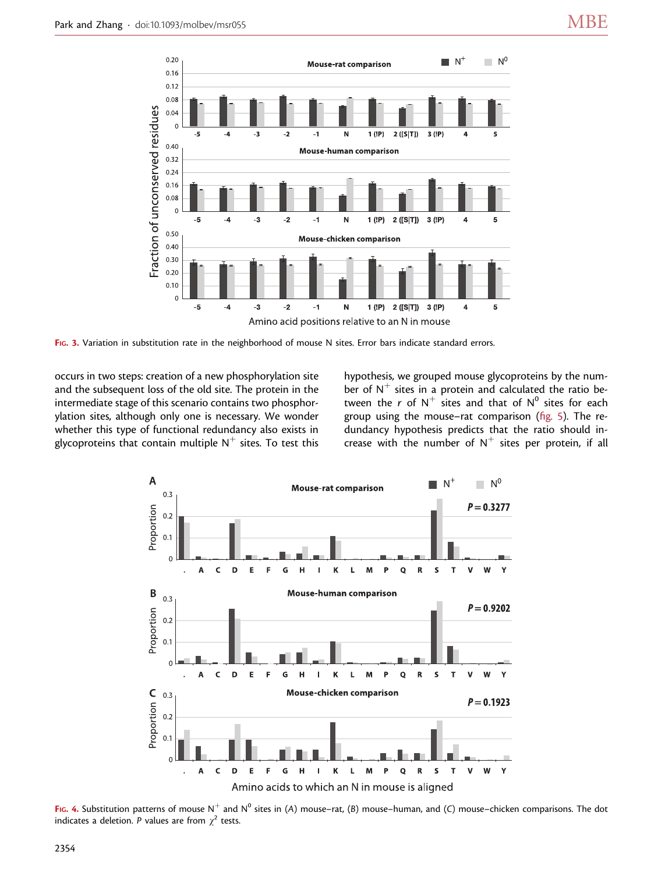

FIG. 3. Variation in substitution rate in the neighborhood of mouse N sites. Error bars indicate standard errors.

occurs in two steps: creation of a new phosphorylation site and the subsequent loss of the old site. The protein in the intermediate stage of this scenario contains two phosphorylation sites, although only one is necessary. We wonder whether this type of functional redundancy also exists in glycoproteins that contain multiple  $N^+$  sites. To test this hypothesis, we grouped mouse glycoproteins by the number of  $N^+$  sites in a protein and calculated the ratio between the r of  $N^+$  sites and that of  $N^0$  sites for each group using the mouse–rat comparison (fig. 5). The redundancy hypothesis predicts that the ratio should increase with the number of  $N^+$  sites per protein, if all



FIG. 4. Substitution patterns of mouse N<sup>+</sup> and N<sup>0</sup> sites in (A) mouse–rat, (B) mouse–human, and (C) mouse–chicken comparisons. The dot indicates a deletion. P values are from  $\gamma^2$  tests.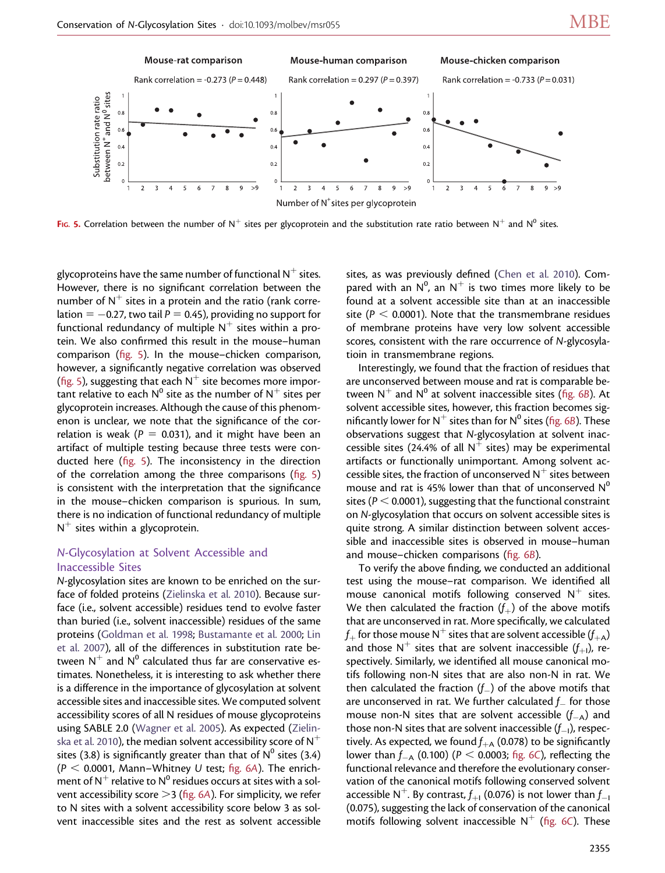

FIG. 5. Correlation between the number of N<sup>+</sup> sites per glycoprotein and the substitution rate ratio between N<sup>+</sup> and N<sup>0</sup> sites.

glycoproteins have the same number of functional  $N^+$  sites. However, there is no significant correlation between the number of  $N^+$  sites in a protein and the ratio (rank correlation  $= -0.27$ , two tail  $P = 0.45$ ), providing no support for functional redundancy of multiple  $N^+$  sites within a protein. We also confirmed this result in the mouse–human comparison (fig. 5). In the mouse–chicken comparison, however, a significantly negative correlation was observed (fig. 5), suggesting that each  $N^+$  site becomes more important relative to each  $N^0$  site as the number of  $N^+$  sites per glycoprotein increases. Although the cause of this phenomenon is unclear, we note that the significance of the correlation is weak ( $P = 0.031$ ), and it might have been an artifact of multiple testing because three tests were conducted here (fig. 5). The inconsistency in the direction of the correlation among the three comparisons (fig. 5) is consistent with the interpretation that the significance in the mouse–chicken comparison is spurious. In sum, there is no indication of functional redundancy of multiple  $N^+$  sites within a glycoprotein.

## N-Glycosylation at Solvent Accessible and Inaccessible Sites

N-glycosylation sites are known to be enriched on the surface of folded proteins ([Zielinska et al. 2010\)](#page-6-0). Because surface (i.e., solvent accessible) residues tend to evolve faster than buried (i.e., solvent inaccessible) residues of the same proteins ([Goldman et al. 1998;](#page-6-0) [Bustamante et al. 2000](#page-6-0); [Lin](#page-6-0) [et al. 2007](#page-6-0)), all of the differences in substitution rate between  $N^+$  and  $N^0$  calculated thus far are conservative estimates. Nonetheless, it is interesting to ask whether there is a difference in the importance of glycosylation at solvent accessible sites and inaccessible sites. We computed solvent accessibility scores of all N residues of mouse glycoproteins using SABLE 2.0 [\(Wagner et al. 2005](#page-6-0)). As expected [\(Zielin](#page-6-0)[ska et al. 2010\)](#page-6-0), the median solvent accessibility score of  $N^+$ sites (3.8) is significantly greater than that of  $N^0$  sites (3.4) ( $P < 0.0001$ , Mann–Whitney U test; fig. 6A). The enrichment of  $N^+$  relative to  $N^0$  residues occurs at sites with a solvent accessibility score  $>$  3 (fig. 6A). For simplicity, we refer to N sites with a solvent accessibility score below 3 as solvent inaccessible sites and the rest as solvent accessible

sites, as was previously defined ([Chen et al. 2010](#page-6-0)). Compared with an  $N^0$ , an  $N^+$  is two times more likely to be found at a solvent accessible site than at an inaccessible site ( $P < 0.0001$ ). Note that the transmembrane residues of membrane proteins have very low solvent accessible scores, consistent with the rare occurrence of N-glycosylatioin in transmembrane regions.

Interestingly, we found that the fraction of residues that are unconserved between mouse and rat is comparable between  $N^+$  and  $N^0$  at solvent inaccessible sites (fig. 6B). At solvent accessible sites, however, this fraction becomes significantly lower for  $N^+$  sites than for  $N^0$  sites (fig. 6B). These observations suggest that N-glycosylation at solvent inaccessible sites (24.4% of all  $N^+$  sites) may be experimental artifacts or functionally unimportant. Among solvent accessible sites, the fraction of unconserved  $N^+$  sites between mouse and rat is 45% lower than that of unconserved  $N^0$ sites ( $P < 0.0001$ ), suggesting that the functional constraint on N-glycosylation that occurs on solvent accessible sites is quite strong. A similar distinction between solvent accessible and inaccessible sites is observed in mouse–human and mouse–chicken comparisons (fig. 6B).

To verify the above finding, we conducted an additional test using the mouse–rat comparison. We identified all mouse canonical motifs following conserved  $N^+$  sites. We then calculated the fraction  $(f<sub>+</sub>)$  of the above motifs that are unconserved in rat. More specifically, we calculated  $f_+$  for those mouse N<sup>+</sup> sites that are solvent accessible ( $f_{+A}$ ) and those  $N^+$  sites that are solvent inaccessible  $(f_{+1})$ , respectively. Similarly, we identified all mouse canonical motifs following non-N sites that are also non-N in rat. We then calculated the fraction  $(f_{-})$  of the above motifs that are unconserved in rat. We further calculated  $f_{-}$  for those mouse non-N sites that are solvent accessible  $(f_{-A})$  and those non-N sites that are solvent inaccessible  $(f_{-\mathsf{I}})$ , respectively. As expected, we found  $f_{\text{+A}}$  (0.078) to be significantly lower than  $f_{-A}$  (0.100) (P < 0.0003; fig. 6C), reflecting the functional relevance and therefore the evolutionary conservation of the canonical motifs following conserved solvent accessible N<sup>+</sup>. By contrast,  $f_{+1}$  (0.076) is not lower than  $f_{-1}$ (0.075), suggesting the lack of conservation of the canonical motifs following solvent inaccessible  $N^+$  (fig. 6C). These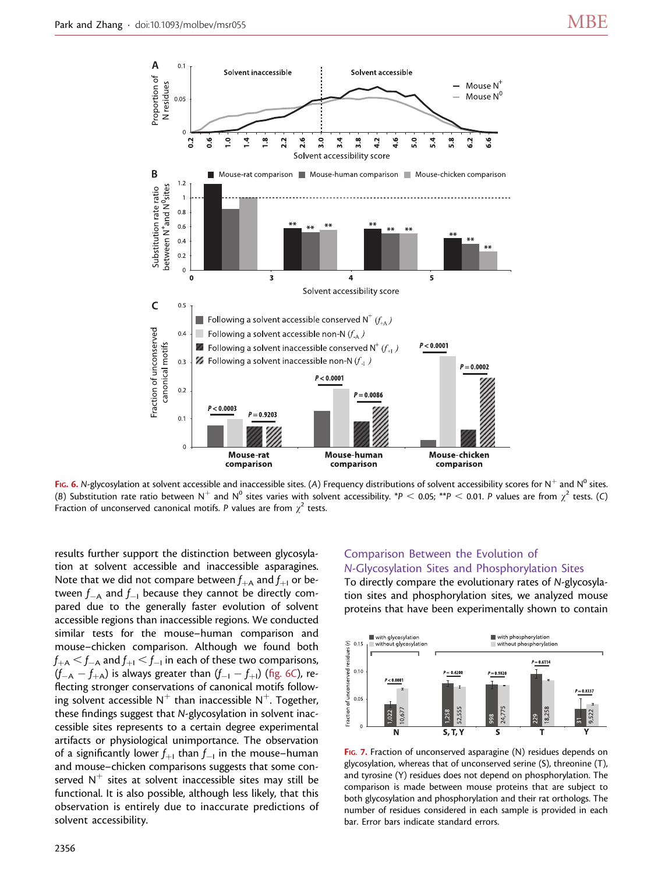

FIG. 6. N-glycosylation at solvent accessible and inaccessible sites. (A) Frequency distributions of solvent accessibility scores for N<sup>+</sup> and N<sup>0</sup> sites. (B) Substitution rate ratio between N<sup>+</sup> and N<sup>0</sup> sites varies with solvent accessibility. \*P < 0.05; \*\*P < 0.01. P values are from  $\chi^2$  tests. (C) Fraction of unconserved canonical motifs. P values are from  $\chi^2$  tests.

results further support the distinction between glycosylation at solvent accessible and inaccessible asparagines. Note that we did not compare between  $f_{+A}$  and  $f_{+I}$  or between  $f_{-A}$  and  $f_{-1}$  because they cannot be directly compared due to the generally faster evolution of solvent accessible regions than inaccessible regions. We conducted similar tests for the mouse–human comparison and mouse–chicken comparison. Although we found both  $f_{+A} < f_{-A}$  and  $f_{+I} < f_{-I}$  in each of these two comparisons,  $(\mathit{f}_{-A} - f_{+A})$  is always greater than  $(\mathit{f}_{-1} - f_{+I})$  (fig. 6C), reflecting stronger conservations of canonical motifs following solvent accessible  $N^+$  than inaccessible  $N^+$ . Together, these findings suggest that N-glycosylation in solvent inaccessible sites represents to a certain degree experimental artifacts or physiological unimportance. The observation of a significantly lower  $f_{+1}$  than  $f_{-1}$  in the mouse–human and mouse–chicken comparisons suggests that some conserved  $N^+$  sites at solvent inaccessible sites may still be functional. It is also possible, although less likely, that this observation is entirely due to inaccurate predictions of solvent accessibility.

## Comparison Between the Evolution of N-Glycosylation Sites and Phosphorylation Sites

To directly compare the evolutionary rates of N-glycosylation sites and phosphorylation sites, we analyzed mouse proteins that have been experimentally shown to contain



FIG. 7. Fraction of unconserved asparagine (N) residues depends on glycosylation, whereas that of unconserved serine (S), threonine (T), and tyrosine (Y) residues does not depend on phosphorylation. The comparison is made between mouse proteins that are subject to both glycosylation and phosphorylation and their rat orthologs. The number of residues considered in each sample is provided in each bar. Error bars indicate standard errors.